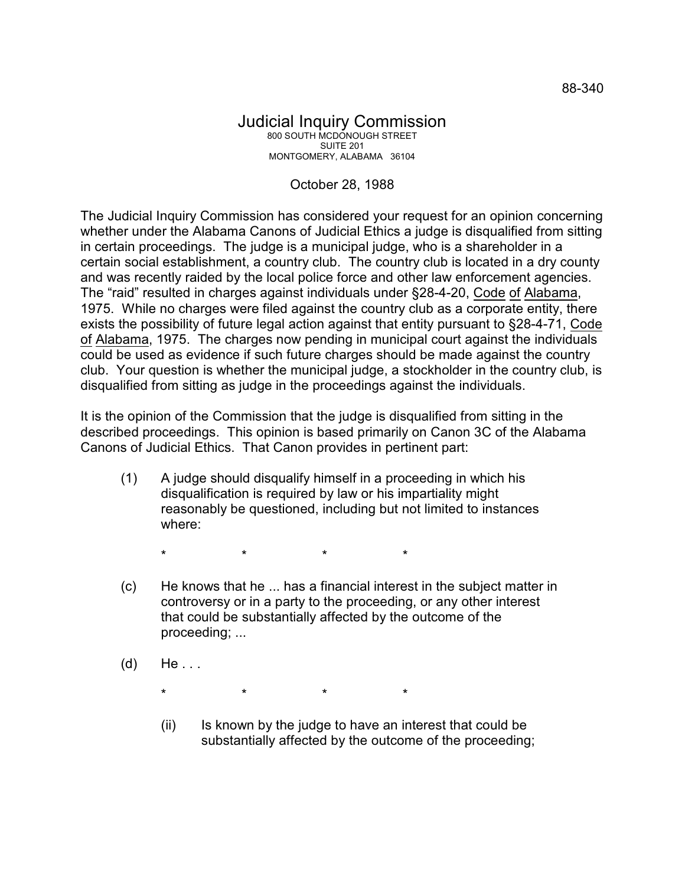## Judicial Inquiry Commission 800 SOUTH MCDONOUGH STREET SUITE 201 MONTGOMERY, ALABAMA 36104

## October 28, 1988

The Judicial Inquiry Commission has considered your request for an opinion concerning whether under the Alabama Canons of Judicial Ethics a judge is disqualified from sitting in certain proceedings. The judge is a municipal judge, who is a shareholder in a certain social establishment, a country club. The country club is located in a dry county and was recently raided by the local police force and other law enforcement agencies. The "raid" resulted in charges against individuals under §28-4-20, Code of Alabama, 1975. While no charges were filed against the country club as a corporate entity, there exists the possibility of future legal action against that entity pursuant to §28-4-71, Code of Alabama, 1975. The charges now pending in municipal court against the individuals could be used as evidence if such future charges should be made against the country club. Your question is whether the municipal judge, a stockholder in the country club, is disqualified from sitting as judge in the proceedings against the individuals.

It is the opinion of the Commission that the judge is disqualified from sitting in the described proceedings. This opinion is based primarily on Canon 3C of the Alabama Canons of Judicial Ethics. That Canon provides in pertinent part:

(1) A judge should disqualify himself in a proceeding in which his disqualification is required by law or his impartiality might reasonably be questioned, including but not limited to instances where:

\* \* \* \*

- (c) He knows that he ... has a financial interest in the subject matter in controversy or in a party to the proceeding, or any other interest that could be substantially affected by the outcome of the proceeding; ...
- $(d)$  He...

\* \* \* \*

(ii) Is known by the judge to have an interest that could be substantially affected by the outcome of the proceeding;